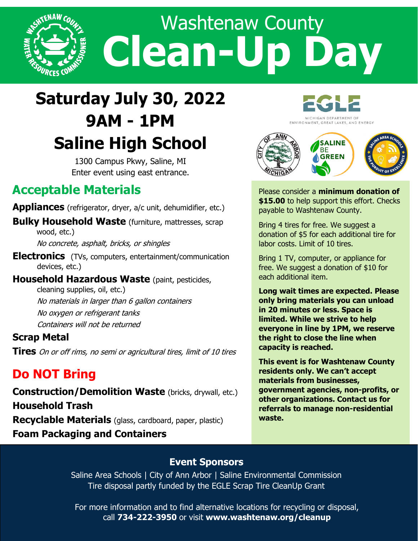

# **Saturday July 30, 2022 9AM - 1PM Saline High School**

1300 Campus Pkwy, Saline, MI Enter event using east entrance.

## **Acceptable Materials**

**Appliances** (refrigerator, dryer, a/c unit, dehumidifier, etc.)

**Bulky Household Waste** (furniture, mattresses, scrap wood, etc.)

No concrete, asphalt, bricks, or shingles

- **Electronics** (TVs, computers, entertainment/communication devices, etc.)
- **Household Hazardous Waste** (paint, pesticides, cleaning supplies, oil, etc.) No materials in larger than 6 gallon containers No oxygen or refrigerant tanks Containers will not be returned

#### **Scrap Metal**

**Tires** On or off rims, no semi or agricultural tires, limit of 10 tires

## **Do NOT Bring**

**Construction/Demolition Waste** (bricks, drywall, etc.) **Household Trash Recyclable Materials** (glass, cardboard, paper, plastic) **Foam Packaging and Containers**

MICHIGAN DEPARTMENT OF ENVIRONMENT, GREAT LAKES, AND ENERGY



Please consider a **minimum donation of \$15.00** to help support this effort. Checks payable to Washtenaw County.

Bring 4 tires for free. We suggest a donation of \$5 for each additional tire for labor costs. Limit of 10 tires.

Bring 1 TV, computer, or appliance for free. We suggest a donation of \$10 for each additional item.

**Long wait times are expected. Please only bring materials you can unload in 20 minutes or less. Space is limited. While we strive to help everyone in line by 1PM, we reserve the right to close the line when capacity is reached.** 

**This event is for Washtenaw County residents only. We can't accept materials from businesses, government agencies, non-profits, or other organizations. Contact us for referrals to manage non-residential waste.** 

#### **Event Sponsors**

Saline Area Schools | City of Ann Arbor | Saline Environmental Commission Tire disposal partly funded by the EGLE Scrap Tire CleanUp Grant

For more information and to find alternative locations for recycling or disposal, call **734-222-3950** or visit **www.washtenaw.org/cleanup**